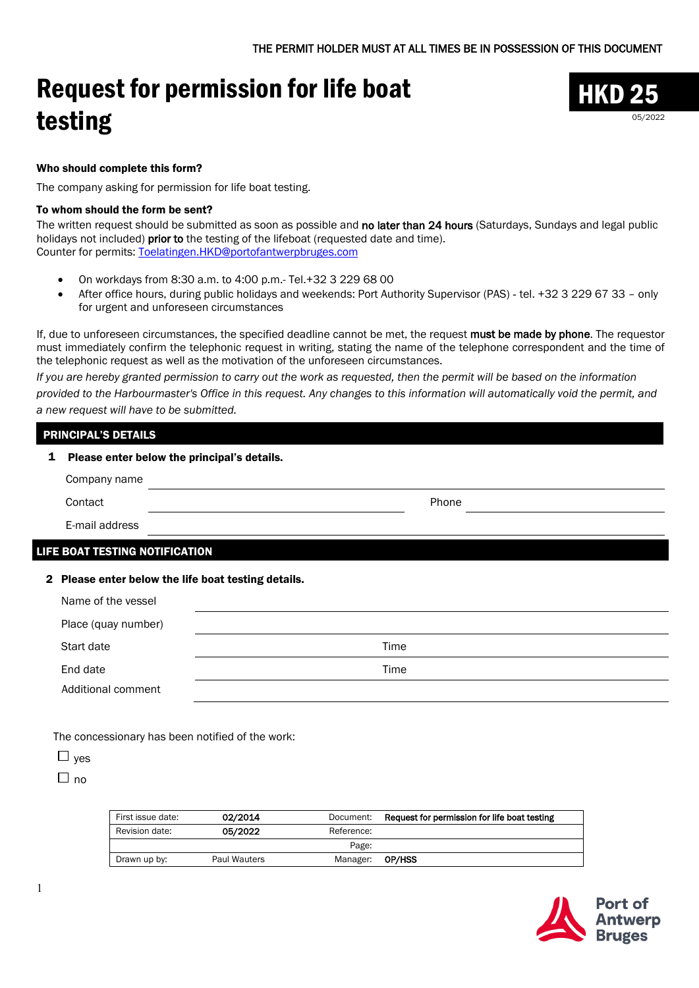# Request for permission for life boat testing



### Who should complete this form?

The company asking for permission for life boat testing.

#### To whom should the form be sent?

The written request should be submitted as soon as possible and no later than 24 hours (Saturdays, Sundays and legal public holidays not included) **prior to** the testing of the lifeboat (requested date and time). Counter for permits: [Toelatingen.HKD@portofantwerpbruges.com](mailto:Toelatingen.HKD@portofantwerpbruges.com)

- On workdays from 8:30 a.m. to 4:00 p.m.- Tel.+32 3 229 68 00
- After office hours, during public holidays and weekends: Port Authority Supervisor (PAS) tel. +32 3 229 67 33 only for urgent and unforeseen circumstances

If, due to unforeseen circumstances, the specified deadline cannot be met, the request must be made by phone. The requestor must immediately confirm the telephonic request in writing, stating the name of the telephone correspondent and the time of the telephonic request as well as the motivation of the unforeseen circumstances.

*If you are hereby granted permission to carry out the work as requested, then the permit will be based on the information provided to the Harbourmaster's Office in this request. Any changes to this information will automatically void the permit, and a new request will have to be submitted.*

# PRINCIPAL'S DETAILS

| 1 |              | Please enter below the principal's details. |  |  |  |
|---|--------------|---------------------------------------------|--|--|--|
|   | Company name |                                             |  |  |  |
|   | Contact      | Phone                                       |  |  |  |
|   |              |                                             |  |  |  |

E-mail address

# LIFE BOAT TESTING NOTIFICATION

## 2 Please enter below the life boat testing details.

| Name of the vessel  |      |  |
|---------------------|------|--|
| Place (quay number) |      |  |
| Start date          | Time |  |
| End date            | Time |  |
| Additional comment  |      |  |

The concessionary has been notified of the work:

|--|

 $\Box$  no

| First issue date: | 02/2014      | Document:  | Request for permission for life boat testing |
|-------------------|--------------|------------|----------------------------------------------|
| Revision date:    | 05/2022      | Reference: |                                              |
|                   |              | Page:      |                                              |
| Drawn up by:      | Paul Wauters | Manager:   | OP/HSS                                       |